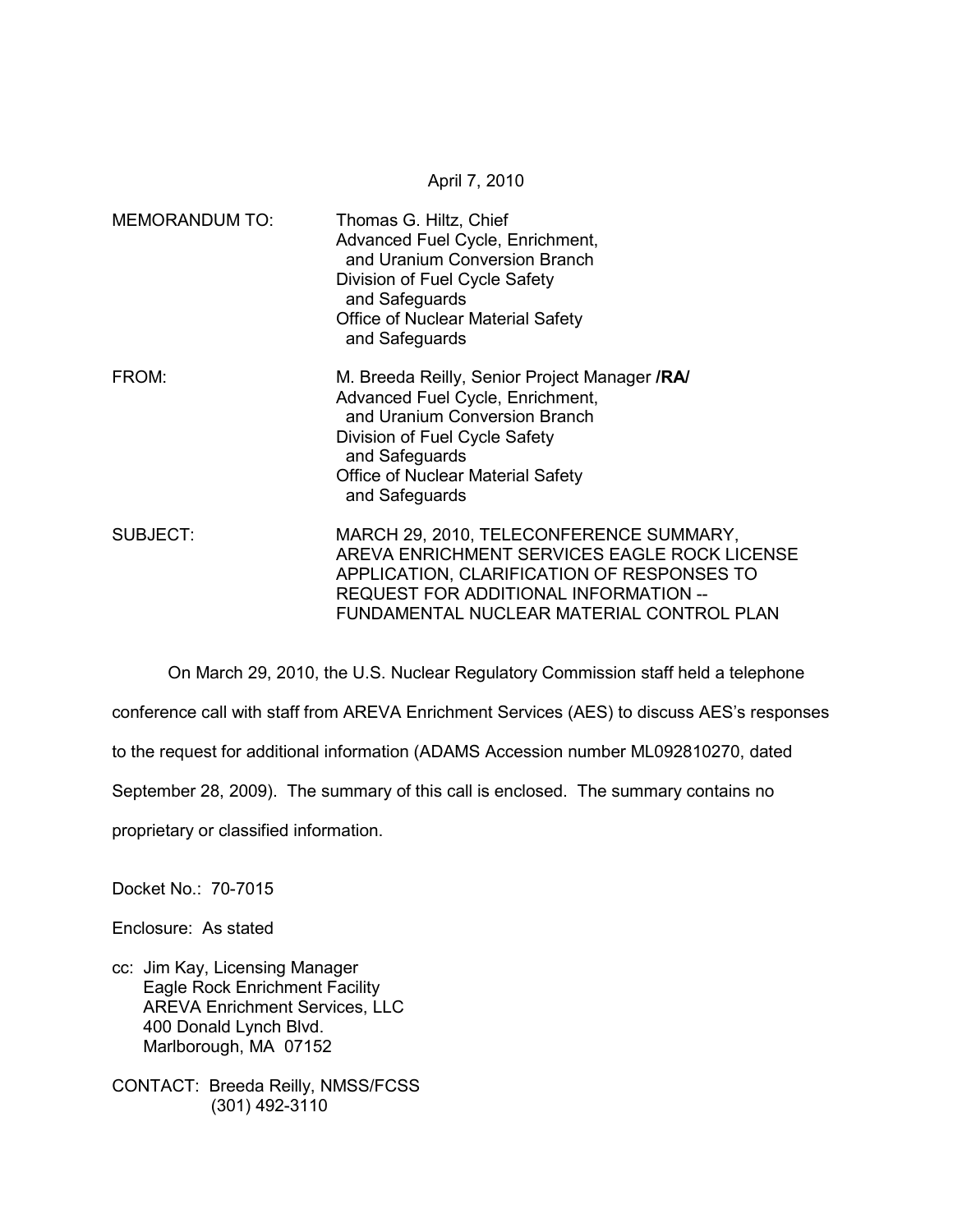MEMORANDUM TO: Thomas G. Hiltz, Chief Advanced Fuel Cycle, Enrichment, and Uranium Conversion Branch Division of Fuel Cycle Safety and Safeguards Office of Nuclear Material Safety and Safeguards FROM: M. Breeda Reilly, Senior Project Manager **/RA/**  Advanced Fuel Cycle, Enrichment, and Uranium Conversion Branch Division of Fuel Cycle Safety and Safeguards Office of Nuclear Material Safety and Safeguards SUBJECT: MARCH 29, 2010, TELECONFERENCE SUMMARY, AREVA ENRICHMENT SERVICES EAGLE ROCK LICENSE APPLICATION, CLARIFICATION OF RESPONSES TO REQUEST FOR ADDITIONAL INFORMATION -- FUNDAMENTAL NUCLEAR MATERIAL CONTROL PLAN

April 7, 2010

 On March 29, 2010, the U.S. Nuclear Regulatory Commission staff held a telephone conference call with staff from AREVA Enrichment Services (AES) to discuss AES's responses to the request for additional information (ADAMS Accession number ML092810270, dated September 28, 2009). The summary of this call is enclosed. The summary contains no proprietary or classified information.

Docket No.: 70-7015

Enclosure: As stated

cc: Jim Kay, Licensing Manager Eagle Rock Enrichment Facility AREVA Enrichment Services, LLC 400 Donald Lynch Blvd. Marlborough, MA 07152

CONTACT: Breeda Reilly, NMSS/FCSS (301) 492-3110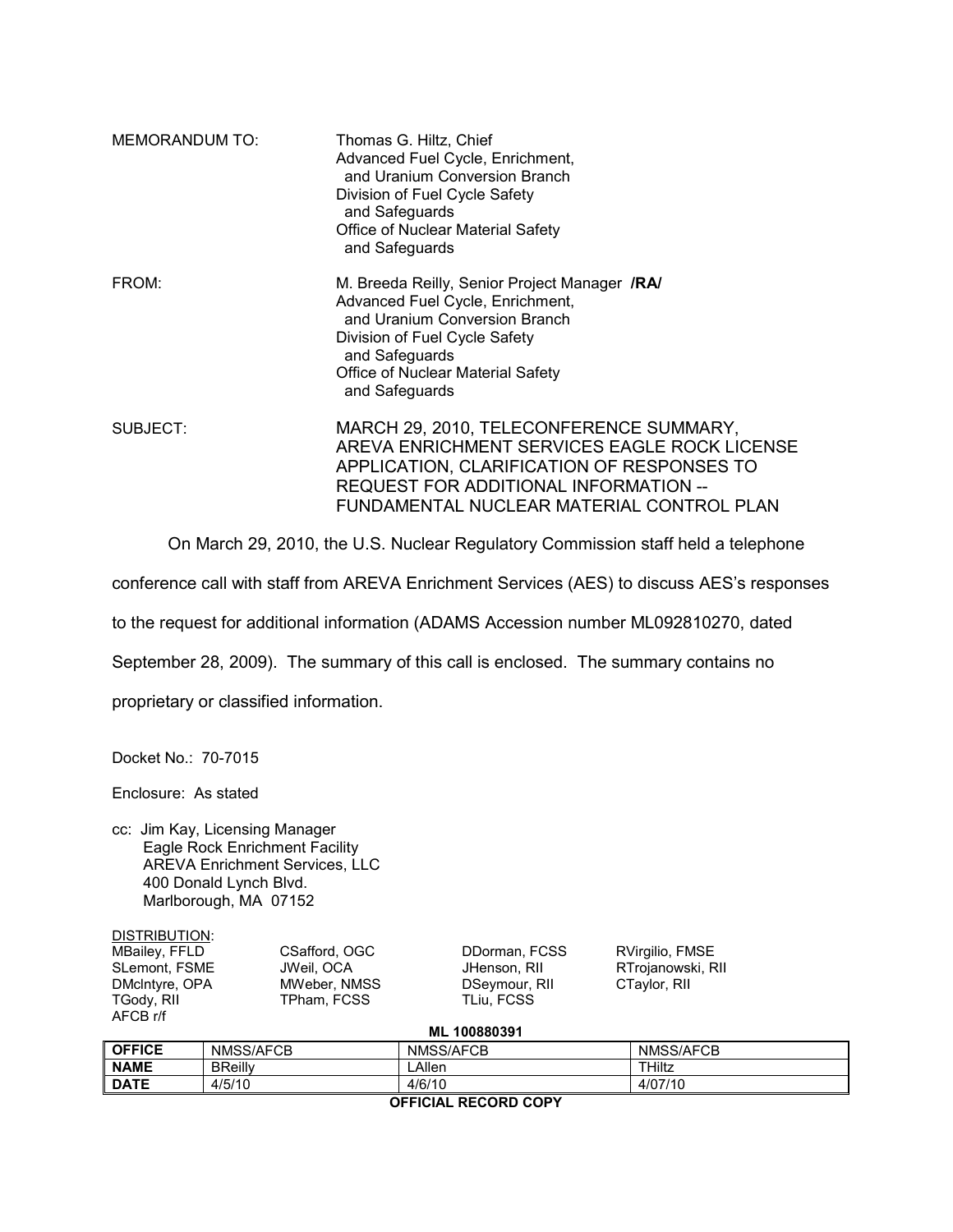| <b>MEMORANDUM TO:</b> | Thomas G. Hiltz, Chief<br>Advanced Fuel Cycle, Enrichment,<br>and Uranium Conversion Branch<br>Division of Fuel Cycle Safety<br>and Safeguards<br>Office of Nuclear Material Safety<br>and Safeguards                               |
|-----------------------|-------------------------------------------------------------------------------------------------------------------------------------------------------------------------------------------------------------------------------------|
| FROM:                 | M. Breeda Reilly, Senior Project Manager /RA/<br>Advanced Fuel Cycle, Enrichment,<br>and Uranium Conversion Branch<br>Division of Fuel Cycle Safety<br>and Safeguards<br><b>Office of Nuclear Material Safety</b><br>and Safeguards |
| SUBJECT:              | MARCH 29, 2010, TELECONFERENCE SUMMARY,<br>AREVA ENRICHMENT SERVICES EAGLE ROCK LICENSE<br>APPLICATION, CLARIFICATION OF RESPONSES TO<br>REQUEST FOR ADDITIONAL INFORMATION --<br>FUNDAMENTAL NUCLEAR MATERIAL CONTROL PLAN         |

On March 29, 2010, the U.S. Nuclear Regulatory Commission staff held a telephone

conference call with staff from AREVA Enrichment Services (AES) to discuss AES's responses

to the request for additional information (ADAMS Accession number ML092810270, dated

September 28, 2009). The summary of this call is enclosed. The summary contains no

proprietary or classified information.

Docket No.: 70-7015

Enclosure: As stated

cc: Jim Kay, Licensing Manager Eagle Rock Enrichment Facility AREVA Enrichment Services, LLC 400 Donald Lynch Blvd. Marlborough, MA 07152

| DISTRIBUTION:  |
|----------------|
| MBailey, FFLD  |
| SLemont, FSME  |
| DMcIntyre, OPA |
| TGody, RII     |
| AFCB r/f       |

MBailey, FFLD CSafford, OGC DDorman, FCSS RVirgilio, FMSE MWeber, NMSS TPham, FCSS TLiu, FCSS

JHenson, RII RTrojanowski, RII<br>DSeymour, RII CTaylor, RII

|  | ML 100880391 |  |
|--|--------------|--|
|--|--------------|--|

| <b>OFFICE</b>        | NMSS/AFCB      | NMSS/AFCB | NMSS/AFCB |  |  |
|----------------------|----------------|-----------|-----------|--|--|
| <b>NAME</b>          | <b>BReilly</b> | _Allen    | THiltz    |  |  |
| <b>DATE</b>          | 4/5/10         | 4/6/10    | 4/07/10   |  |  |
| AFFIAIAL BEAARD AABV |                |           |           |  |  |

**OFFICIAL RECORD COPY**